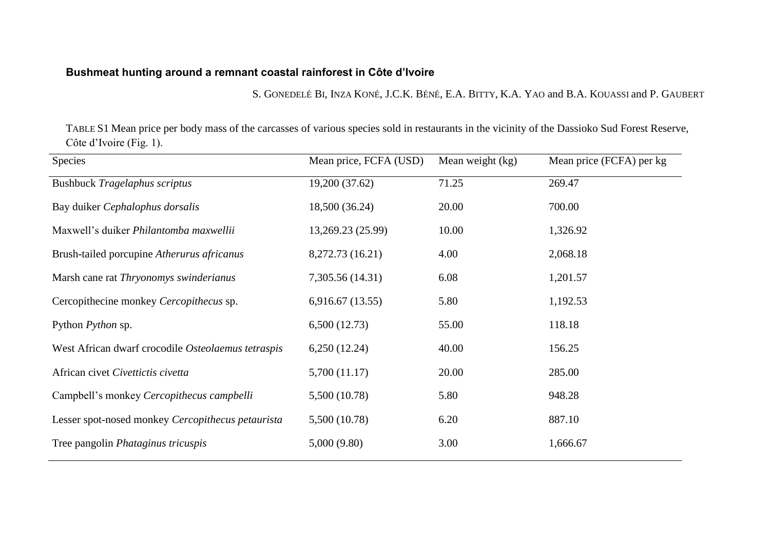## **Bushmeat hunting around a remnant coastal rainforest in Côte d'Ivoire**

S. GONEDELÉ BI, INZA KONÉ, J.C.K. BÉNÉ, E.A. BITTY, K.A. YAO and B.A. KOUASSI and P. GAUBERT

TABLE S1 Mean price per body mass of the carcasses of various species sold in restaurants in the vicinity of the Dassioko Sud Forest Reserve, Côte d'Ivoire (Fig. 1).

| <b>Species</b>                                     | Mean price, FCFA (USD) | Mean weight (kg) | Mean price (FCFA) per kg |
|----------------------------------------------------|------------------------|------------------|--------------------------|
| <b>Bushbuck Tragelaphus scriptus</b>               | 19,200 (37.62)         | 71.25            | 269.47                   |
| Bay duiker Cephalophus dorsalis                    | 18,500 (36.24)         | 20.00            | 700.00                   |
| Maxwell's duiker Philantomba maxwellii             | 13,269.23 (25.99)      | 10.00            | 1,326.92                 |
| Brush-tailed porcupine Atherurus africanus         | 8,272.73 (16.21)       | 4.00             | 2,068.18                 |
| Marsh cane rat Thryonomys swinderianus             | 7,305.56 (14.31)       | 6.08             | 1,201.57                 |
| Cercopithecine monkey Cercopithecus sp.            | 6,916.67(13.55)        | 5.80             | 1,192.53                 |
| Python <i>Python</i> sp.                           | 6,500(12.73)           | 55.00            | 118.18                   |
| West African dwarf crocodile Osteolaemus tetraspis | 6,250(12.24)           | 40.00            | 156.25                   |
| African civet Civettictis civetta                  | 5,700 (11.17)          | 20.00            | 285.00                   |
| Campbell's monkey Cercopithecus campbelli          | 5,500 (10.78)          | 5.80             | 948.28                   |
| Lesser spot-nosed monkey Cercopithecus petaurista  | 5,500 (10.78)          | 6.20             | 887.10                   |
| Tree pangolin <i>Phataginus tricuspis</i>          | 5,000(9.80)            | 3.00             | 1,666.67                 |